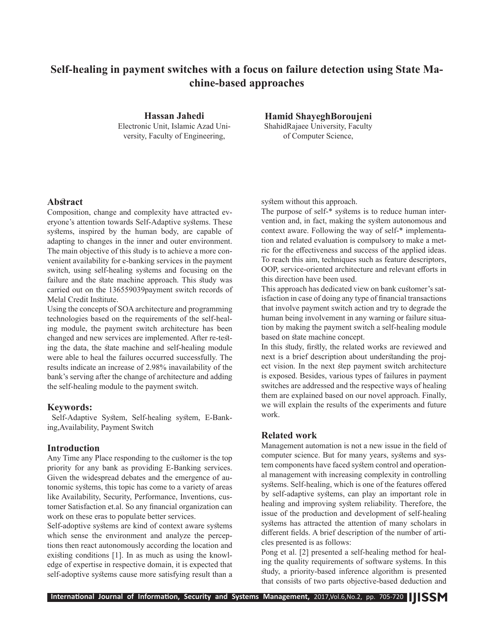# **Self-healing in payment switches with a focus on failure detection using State Machine-based approaches**

**Hassan Jahedi** Electronic Unit, Islamic Azad University, Faculty of Engineering,

**Hamid ShayeghBoroujeni** ShahidRajaee University, Faculty of Computer Science,

#### **Abstract**

Composition, change and complexity have attracted everyone's attention towards Self-Adaptive systems. These systems, inspired by the human body, are capable of adapting to changes in the inner and outer environment. The main objective of this study is to achieve a more convenient availability for e-banking services in the payment switch, using self-healing systems and focusing on the failure and the state machine approach. This study was carried out on the 136559039payment switch records of Melal Credit Institute.

Using the concepts of SOA architecture and programming technologies based on the requirements of the self-healing module, the payment switch architecture has been changed and new services are implemented. After re-testing the data, the state machine and self-healing module were able to heal the failures occurred successfully. The results indicate an increase of 2.98% inavailability of the bank's serving after the change of architecture and adding the self-healing module to the payment switch.

#### **Keywords:**

 Self-Adaptive System, Self-healing system, E-Banking,Availability, Payment Switch

#### **Introduction**

Any Time any Place responding to the customer is the top priority for any bank as providing E-Banking services. Given the widespread debates and the emergence of autonomic systems, this topic has come to a variety of areas like Availability, Security, Performance, Inventions, customer Satisfaction et.al. So any financial organization can work on these eras to populate better services.

Self-adoptive systems are kind of context aware systems which sense the environment and analyze the perceptions then react autonomously according the location and existing conditions [1]. In as much as using the knowledge of expertise in respective domain, it is expected that self-adoptive systems cause more satisfying result than a system without this approach.

The purpose of self-\* systems is to reduce human intervention and, in fact, making the system autonomous and context aware. Following the way of self-\* implementation and related evaluation is compulsory to make a metric for the effectiveness and success of the applied ideas. To reach this aim, techniques such as feature descriptors, OOP, service-oriented architecture and relevant efforts in this direction have been used.

This approach has dedicated view on bank customer's satisfaction in case of doing any type of financial transactions that involve payment switch action and try to degrade the human being involvement in any warning or failure situation by making the payment switch a self-healing module based on state machine concept.

In this study, firstly, the related works are reviewed and next is a brief description about understanding the project vision. In the next step payment switch architecture is exposed. Besides, various types of failures in payment switches are addressed and the respective ways of healing them are explained based on our novel approach. Finally, we will explain the results of the experiments and future work.

## **Related work**

Management automation is not a new issue in the field of computer science. But for many years, systems and system components have faced system control and operational management with increasing complexity in controlling systems. Self-healing, which is one of the features offered by self-adaptive systems, can play an important role in healing and improving system reliability. Therefore, the issue of the production and development of self-healing systems has attracted the attention of many scholars in different fields. A brief description of the number of articles presented is as follows:

Pong et al. [2] presented a self-healing method for healing the quality requirements of software systems. In this study, a priority-based inference algorithm is presented that consists of two parts objective-based deduction and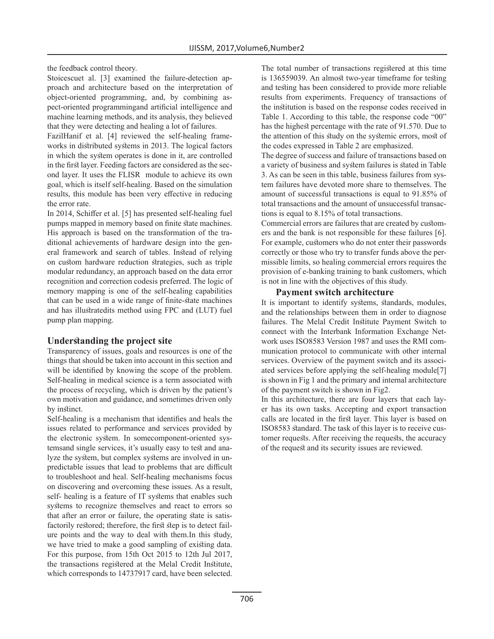the feedback control theory.

Stoicescuet al. [3] examined the failure-detection approach and architecture based on the interpretation of object-oriented programming, and, by combining aspect-oriented programmingand artificial intelligence and machine learning methods, and its analysis, they believed that they were detecting and healing a lot of failures.

FazilHanif et al. [4] reviewed the self-healing frameworks in distributed systems in 2013. The logical factors in which the system operates is done in it, are controlled in the first layer. Feeding factors are considered as the second layer. It uses the FLISR module to achieve its own goal, which is itself self-healing. Based on the simulation results, this module has been very effective in reducing the error rate.

In 2014, Schiffer et al. [5] has presented self-healing fuel pumps mapped in memory based on finite state machines. His approach is based on the transformation of the traditional achievements of hardware design into the general framework and search of tables. Instead of relying on custom hardware reduction strategies, such as triple modular redundancy, an approach based on the data error recognition and correction codesis preferred. The logic of memory mapping is one of the self-healing capabilities that can be used in a wide range of finite-state machines and has illustratedits method using FPC and (LUT) fuel pump plan mapping.

## **Understanding the project site**

Transparency of issues, goals and resources is one of the things that should be taken into account in this section and will be identified by knowing the scope of the problem. Self-healing in medical science is a term associated with the process of recycling, which is driven by the patient's own motivation and guidance, and sometimes driven only by instinct.

Self-healing is a mechanism that identifies and heals the issues related to performance and services provided by the electronic system. In somecomponent-oriented systemsand single services, it's usually easy to test and analyze the system, but complex systems are involved in unpredictable issues that lead to problems that are difficult to troubleshoot and heal. Self-healing mechanisms focus on discovering and overcoming these issues. As a result, self- healing is a feature of IT systems that enables such systems to recognize themselves and react to errors so that after an error or failure, the operating state is satisfactorily restored; therefore, the first step is to detect failure points and the way to deal with them.In this study, we have tried to make a good sampling of existing data. For this purpose, from 15th Oct 2015 to 12th Jul 2017, the transactions registered at the Melal Credit Institute, which corresponds to 14737917 card, have been selected.

The total number of transactions registered at this time is 136559039. An almost two-year timeframe for testing and testing has been considered to provide more reliable results from experiments. Frequency of transactions of the institution is based on the response codes received in Table 1. According to this table, the response code "00" has the highest percentage with the rate of 91.570. Due to the attention of this study on the systemic errors, most of the codes expressed in Table 2 are emphasized.

The degree of success and failure of transactions based on a variety of business and system failures is stated in Table 3. As can be seen in this table, business failures from system failures have devoted more share to themselves. The amount of successful transactions is equal to 91.85% of total transactions and the amount of unsuccessful transactions is equal to 8.15% of total transactions.

Commercial errors are failures that are created by customers and the bank is not responsible for these failures [6]. For example, customers who do not enter their passwords correctly or those who try to transfer funds above the permissible limits, so healing commercial errors requires the provision of e-banking training to bank customers, which is not in line with the objectives of this study.

#### **Payment switch architecture**

It is important to identify systems, standards, modules, and the relationships between them in order to diagnose failures. The Melal Credit Institute Payment Switch to connect with the Interbank Information Exchange Network uses ISO8583 Version 1987 and uses the RMI communication protocol to communicate with other internal services. Overview of the payment switch and its associated services before applying the self-healing module[7] is shown in Fig 1 and the primary and internal architecture of the payment switch is shown in Fig2.

In this architecture, there are four layers that each layer has its own tasks. Accepting and export transaction calls are located in the first layer. This layer is based on ISO8583 standard. The task of this layer is to receive customer requests. After receiving the requests, the accuracy of the request and its security issues are reviewed.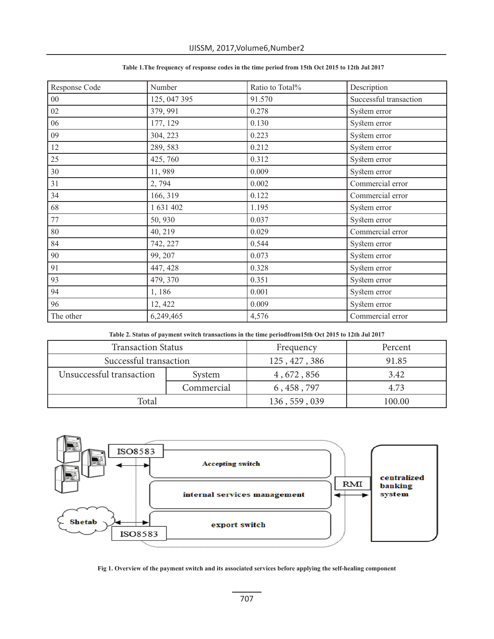| Response Code | Number       | Ratio to Total% | Description            |
|---------------|--------------|-----------------|------------------------|
| $00\,$        | 125, 047 395 | 91.570          | Successful transaction |
| $02\,$        | 379, 991     | 0.278           | System error           |
| 06            | 177, 129     | 0.130           | System error           |
| 09            | 304, 223     | 0.223           | System error           |
| 12            | 289, 583     | 0.212           | System error           |
| 25            | 425,760      | 0.312           | System error           |
| 30            | 11,989       | 0.009           | System error           |
| 31            | 2,794        | 0.002           | Commercial error       |
| 34            | 166, 319     | 0.122           | Commercial error       |
| 68            | 1 631 402    | 1.195           | System error           |
| 77            | 50,930       | 0.037           | System error           |
| $80\,$        | 40, 219      | 0.029           | Commercial error       |
| 84            | 742, 227     | 0.544           | System error           |
| 90            | 99, 207      | 0.073           | System error           |
| 91            | 447, 428     | 0.328           | System error           |
| 93            | 479, 370     | 0.351           | System error           |
| 94            | 1,186        | 0.001           | System error           |
| 96            | 12, 422      | 0.009           | System error           |
| The other     | 6,249,465    | 4,576           | Commercial error       |

## **Table 1.The frequency of response codes in the time period from 15th Oct 2015 to 12th Jul 2017**

**Table 2. Status of payment switch transactions in the time periodfrom15th Oct 2015 to 12th Jul 2017**

| <b>Transaction Status</b>          |  | Frequency     | Percent |
|------------------------------------|--|---------------|---------|
| Successful transaction             |  | 125, 427, 386 | 91.85   |
| Unsuccessful transaction<br>System |  | 4, 672, 856   | 3.42    |
| Commercial                         |  | 6, 458, 797   | 4.73    |
| Total                              |  | 136, 559, 039 | 100.00  |



**Fig 1. Overview of the payment switch and its associated services before applying the self-healing component**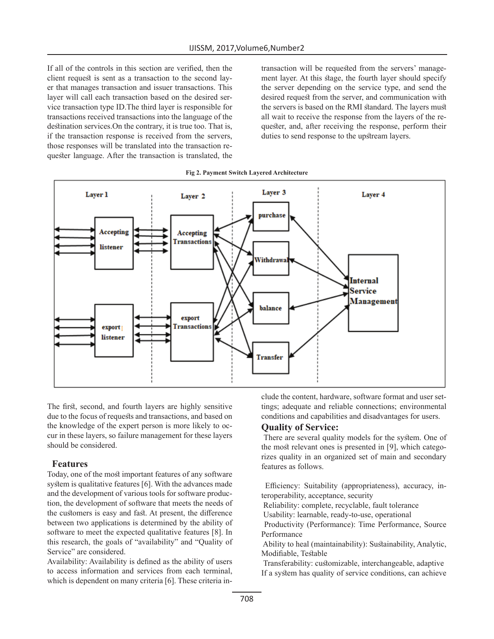If all of the controls in this section are verified, then the client request is sent as a transaction to the second layer that manages transaction and issuer transactions. This layer will call each transaction based on the desired service transaction type ID.The third layer is responsible for transactions received transactions into the language of the destination services.On the contrary, it is true too. That is, if the transaction response is received from the servers, those responses will be translated into the transaction requester language. After the transaction is translated, the transaction will be requested from the servers' management layer. At this stage, the fourth layer should specify the server depending on the service type, and send the desired request from the server, and communication with the servers is based on the RMI standard. The layers must all wait to receive the response from the layers of the requester, and, after receiving the response, perform their duties to send response to the upstream layers.





The first, second, and fourth layers are highly sensitive due to the focus of requests and transactions, and based on the knowledge of the expert person is more likely to occur in these layers, so failure management for these layers should be considered.

## **Features**

Today, one of the most important features of any software system is qualitative features [6]. With the advances made and the development of various tools for software production, the development of software that meets the needs of the customers is easy and fast. At present, the difference between two applications is determined by the ability of software to meet the expected qualitative features [8]. In this research, the goals of "availability" and "Quality of Service" are considered.

Availability: Availability is defined as the ability of users to access information and services from each terminal, which is dependent on many criteria [6]. These criteria include the content, hardware, software format and user settings; adequate and reliable connections; environmental conditions and capabilities and disadvantages for users.

## **Quality of Service:**

 There are several quality models for the system. One of the most relevant ones is presented in [9], which categorizes quality in an organized set of main and secondary features as follows.

 Efficiency: Suitability (appropriateness), accuracy, interoperability, acceptance, security

Reliability: complete, recyclable, fault tolerance

Usability: learnable, ready-to-use, operational

 Productivity (Performance): Time Performance, Source Performance

 Ability to heal (maintainability): Sustainability, Analytic, Modifiable, Testable

 Transferability: customizable, interchangeable, adaptive If a system has quality of service conditions, can achieve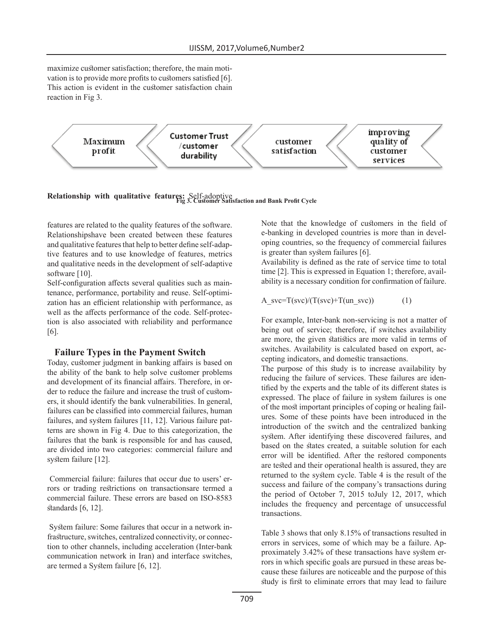maximize customer satisfaction; therefore, the main motivation is to provide more profits to customers satisfied [6]. This action is evident in the customer satisfaction chain reaction in Fig 3.



**Relationship with qualitative features:** Self-adoptive **Fig 3. Customer Satisfaction and Bank Profit Cycle**

features are related to the quality features of the software. Relationshipshave been created between these features and qualitative features that help to better define self-adaptive features and to use knowledge of features, metrics and qualitative needs in the development of self-adaptive software [10].

Self-configuration affects several qualities such as maintenance, performance, portability and reuse. Self-optimization has an efficient relationship with performance, as well as the affects performance of the code. Self-protection is also associated with reliability and performance [6].

## **Failure Types in the Payment Switch**

Today, customer judgment in banking affairs is based on the ability of the bank to help solve customer problems and development of its financial affairs. Therefore, in order to reduce the failure and increase the trust of customers, it should identify the bank vulnerabilities. In general, failures can be classified into commercial failures, human failures, and system failures [11, 12]. Various failure patterns are shown in Fig 4. Due to this categorization, the failures that the bank is responsible for and has caused, are divided into two categories: commercial failure and system failure [12].

 Commercial failure: failures that occur due to users' errors or trading restrictions on transactionsare termed a commercial failure. These errors are based on ISO-8583 standards [6, 12].

 System failure: Some failures that occur in a network infrastructure, switches, centralized connectivity, or connection to other channels, including acceleration (Inter-bank communication network in Iran) and interface switches, are termed a System failure [6, 12].

Note that the knowledge of customers in the field of e-banking in developed countries is more than in developing countries, so the frequency of commercial failures is greater than system failures [6].

Availability is defined as the rate of service time to total time [2]. This is expressed in Equation 1; therefore, availability is a necessary condition for confirmation of failure.

$$
A_svc=T(svc)/(T(svc)+T(un_svc))
$$
 (1)

For example, Inter-bank non-servicing is not a matter of being out of service; therefore, if switches availability are more, the given statistics are more valid in terms of switches. Availability is calculated based on export, accepting indicators, and domestic transactions.

The purpose of this study is to increase availability by reducing the failure of services. These failures are identified by the experts and the table of its different states is expressed. The place of failure in system failures is one of the most important principles of coping or healing failures. Some of these points have been introduced in the introduction of the switch and the centralized banking system. After identifying these discovered failures, and based on the states created, a suitable solution for each error will be identified. After the restored components are tested and their operational health is assured, they are returned to the system cycle. Table 4 is the result of the success and failure of the company's transactions during the period of October 7, 2015 toJuly 12, 2017, which includes the frequency and percentage of unsuccessful transactions.

Table 3 shows that only 8.15% of transactions resulted in errors in services, some of which may be a failure. Approximately 3.42% of these transactions have system errors in which specific goals are pursued in these areas because these failures are noticeable and the purpose of this study is first to eliminate errors that may lead to failure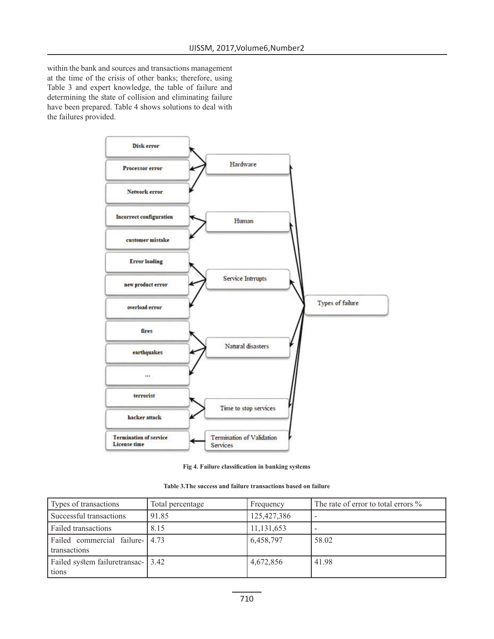within the bank and sources and transactions management at the time of the crisis of other banks; therefore, using Table 3 and expert knowledge, the table of failure and determining the state of collision and eliminating failure have been prepared. Table 4 shows solutions to deal with the failures provided.



**Fig 4. Failure classification in banking systems**

| Table 3. The success and failure transactions based on failure |  |  |
|----------------------------------------------------------------|--|--|
|----------------------------------------------------------------|--|--|

| Types of transactions                           | Total percentage | Frequency    | The rate of error to total errors $\%$ |
|-------------------------------------------------|------------------|--------------|----------------------------------------|
| Successful transactions                         | 91.85            | 125,427,386  | $\overline{\phantom{0}}$               |
| Failed transactions                             | 8.15             | 11, 131, 653 |                                        |
| Failed commercial failure- 4.73<br>transactions |                  | 6,458,797    | 58.02                                  |
| Failed system failuretransac- 3.42<br>tions     |                  | 4,672,856    | 41.98                                  |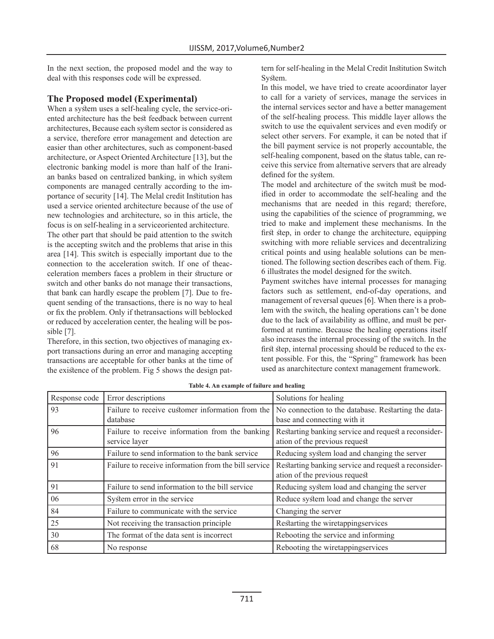In the next section, the proposed model and the way to deal with this responses code will be expressed.

# **The Proposed model (Experimental)**

When a system uses a self-healing cycle, the service-oriented architecture has the best feedback between current architectures, Because each system sector is considered as a service, therefore error management and detection are easier than other architectures, such as component-based architecture, or Aspect Oriented Architecture [13], but the electronic banking model is more than half of the Iranian banks based on centralized banking, in which system components are managed centrally according to the importance of security [14]. The Melal credit Institution has used a service oriented architecture because of the use of new technologies and architecture, so in this article, the focus is on self-healing in a serviceoriented architecture. The other part that should be paid attention to the switch is the accepting switch and the problems that arise in this area [14]. This switch is especially important due to the connection to the acceleration switch. If one of theacceleration members faces a problem in their structure or switch and other banks do not manage their transactions, that bank can hardly escape the problem [7]. Due to frequent sending of the transactions, there is no way to heal or fix the problem. Only if thetransactions will beblocked or reduced by acceleration center, the healing will be possible [7].

Therefore, in this section, two objectives of managing export transactions during an error and managing accepting transactions are acceptable for other banks at the time of the existence of the problem. Fig 5 shows the design pattern for self-healing in the Melal Credit Institution Switch System.

In this model, we have tried to create acoordinator layer to call for a variety of services, manage the services in the internal services sector and have a better management of the self-healing process. This middle layer allows the switch to use the equivalent services and even modify or select other servers. For example, it can be noted that if the bill payment service is not properly accountable, the self-healing component, based on the status table, can receive this service from alternative servers that are already defined for the system.

The model and architecture of the switch must be modified in order to accommodate the self-healing and the mechanisms that are needed in this regard; therefore, using the capabilities of the science of programming, we tried to make and implement these mechanisms. In the first step, in order to change the architecture, equipping switching with more reliable services and decentralizing critical points and using healable solutions can be mentioned. The following section describes each of them. Fig. 6 illustrates the model designed for the switch.

Payment switches have internal processes for managing factors such as settlement, end-of-day operations, and management of reversal queues [6]. When there is a problem with the switch, the healing operations can't be done due to the lack of availability as offline, and must be performed at runtime. Because the healing operations itself also increases the internal processing of the switch. In the first step, internal processing should be reduced to the extent possible. For this, the "Spring" framework has been used as anarchitecture context management framework.

| Response code | Error descriptions                                               | Solutions for healing                                                                 |
|---------------|------------------------------------------------------------------|---------------------------------------------------------------------------------------|
| 93            | Failure to receive customer information from the<br>database     | No connection to the database. Restarting the data-<br>base and connecting with it    |
| 96            | Failure to receive information from the banking<br>service layer | Restarting banking service and request a reconsider-<br>ation of the previous request |
| 96            | Failure to send information to the bank service                  | Reducing system load and changing the server                                          |
| 91            | Failure to receive information from the bill service             | Restarting banking service and request a reconsider-<br>ation of the previous request |
| 91            | Failure to send information to the bill service                  | Reducing system load and changing the server                                          |
| 06            | System error in the service                                      | Reduce system load and change the server                                              |
| 84            | Failure to communicate with the service                          | Changing the server                                                                   |
| 25            | Not receiving the transaction principle                          | Restarting the wiretappingservices                                                    |
| 30            | The format of the data sent is incorrect                         | Rebooting the service and informing                                                   |
| 68            | No response                                                      | Rebooting the wiretappingservices                                                     |

**Table 4. An example of failure and healing**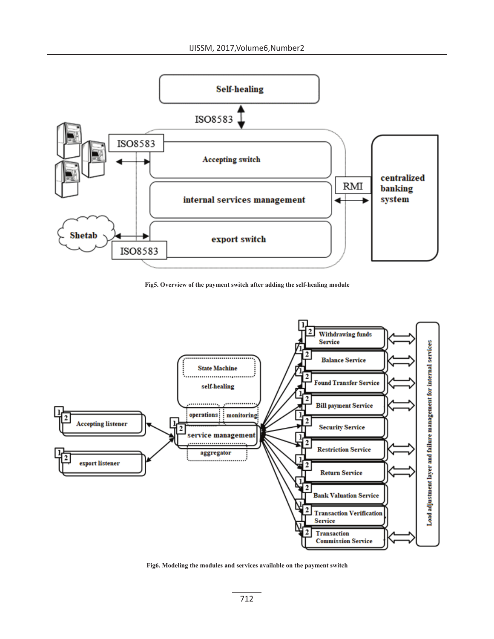

**Fig5. Overview of the payment switch after adding the self-healing module**



**Fig6. Modeling the modules and services available on the payment switch**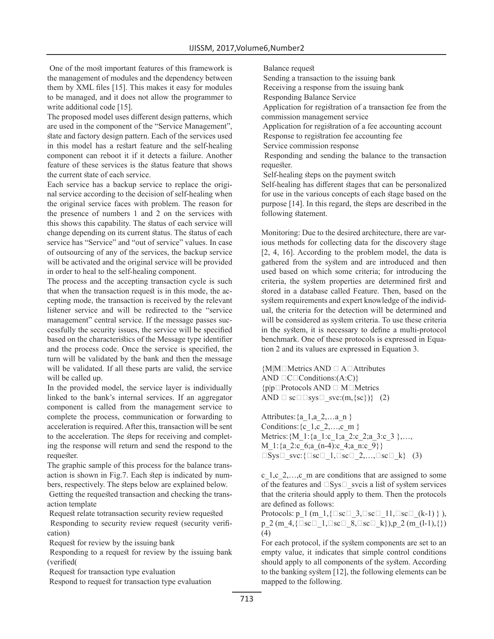One of the most important features of this framework is the management of modules and the dependency between them by XML files [15]. This makes it easy for modules to be managed, and it does not allow the programmer to write additional code [15].

The proposed model uses different design patterns, which are used in the component of the "Service Management", state and factory design pattern. Each of the services used in this model has a restart feature and the self-healing component can reboot it if it detects a failure. Another feature of these services is the status feature that shows the current state of each service.

Each service has a backup service to replace the original service according to the decision of self-healing when the original service faces with problem. The reason for the presence of numbers 1 and 2 on the services with this shows this capability. The status of each service will change depending on its current status. The status of each service has "Service" and "out of service" values. In case of outsourcing of any of the services, the backup service will be activated and the original service will be provided in order to heal to the self-healing component.

The process and the accepting transaction cycle is such that when the transaction request is in this mode, the accepting mode, the transaction is received by the relevant listener service and will be redirected to the "service management" central service. If the message passes successfully the security issues, the service will be specified based on the characteristics of the Message type identifier and the process code. Once the service is specified, the turn will be validated by the bank and then the message will be validated. If all these parts are valid, the service will be called up.

In the provided model, the service layer is individually linked to the bank's internal services. If an aggregator component is called from the management service to complete the process, communication or forwarding to acceleration is required. After this, transaction will be sent to the acceleration. The steps for receiving and completing the response will return and send the respond to the requester.

The graphic sample of this process for the balance transaction is shown in Fig.7. Each step is indicated by numbers, respectively. The steps below are explained below.

 Getting the requested transaction and checking the transaction template

Request relate totransaction security review requested

 Responding to security review request (security verification)

Request for review by the issuing bank

 Responding to a request for review by the issuing bank (verified(

Request for transaction type evaluation

Respond to request for transaction type evaluation

Balance request

Sending a transaction to the issuing bank

Receiving a response from the issuing bank

Responding Balance Service

 Application for registration of a transaction fee from the commission management service

 Application for registration of a fee accounting account Response to registration fee accounting fee

Service commission response

 Responding and sending the balance to the transaction requester.

Self-healing steps on the payment switch

Self-healing has different stages that can be personalized for use in the various concepts of each stage based on the purpose [14]. In this regard, the steps are described in the following statement.

Monitoring: Due to the desired architecture, there are various methods for collecting data for the discovery stage [2, 4, 16]. According to the problem model, the data is gathered from the system and are introduced and then used based on which some criteria; for introducing the criteria, the system properties are determined first and stored in a database called Feature. Then, based on the system requirements and expert knowledge of the individual, the criteria for the detection will be determined and will be considered as system criteria. To use these criteria in the system, it is necessary to define a multi-protocol benchmark. One of these protocols is expressed in Equation 2 and its values are expressed in Equation 3.

{M|M∈Metrics AND ∃ A∈Attributes AND  $\Box$ C $\Box$ Conditions:(A:C)} {p|p∈Protocols AND ∃ M∈Metrics AND  $\Box$  sc $\Box$  sys $\Box$  svc:(m, {sc})} (2)

Attributes:  $\{a_1, a_2, \ldots a_n\}$ Conditions: {c\_1,c\_2,...,c\_m } Metrics: {M\_1: {a\_1:c\_1;a\_2:c\_2;a\_3:c\_3 },…, M 1: $\{a\,2:c\,6;a\, (n-4):c\,4;a\,n:c\,9\}\}$  $\square$ Sys□ svc:{ $\square$ sc $\square$  1, $\square$ sc $\square$  2,..., $\square$ sc $\square$  k} (3)

c\_1,c\_2,…,c\_m are conditions that are assigned to some of the features and  $\square$ Sys $\square$  svcis a list of system services that the criteria should apply to them. Then the protocols are defined as follows:

Protocols:  $p_1$  (m\_1, { $\square$ sc $\square$ \_3, $\square$ sc $\square$ \_11, $\square$ sc $\square$ \_(k-1) } ), p\_2 (m\_4,{ $\square$ sc $\square$ \_1, $\square$ sc $\square$ \_8, $\square$ sc $\square$ \_k}),p\_2 (m\_(l-1),{}) (4)

For each protocol, if the system components are set to an empty value, it indicates that simple control conditions should apply to all components of the system. According to the banking system [12], the following elements can be mapped to the following.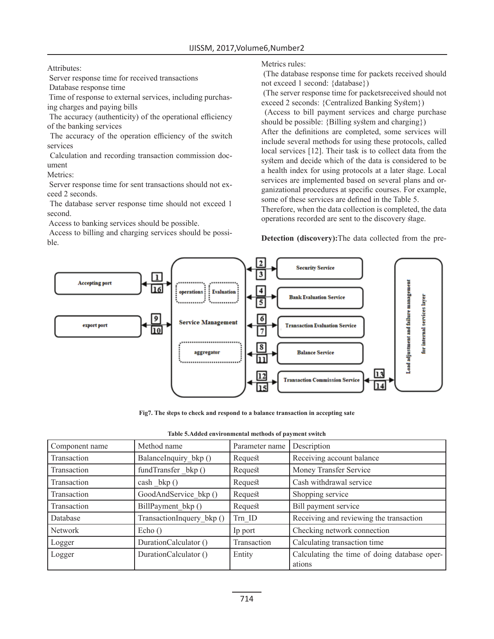Attributes:

Server response time for received transactions

Database response time

 Time of response to external services, including purchasing charges and paying bills

 The accuracy (authenticity) of the operational efficiency of the banking services

 The accuracy of the operation efficiency of the switch services

 Calculation and recording transaction commission document

Metrics:

 Server response time for sent transactions should not exceed 2 seconds.

 The database server response time should not exceed 1 second.

Access to banking services should be possible.

 Access to billing and charging services should be possible.

## Metrics rules:

 (The database response time for packets received should not exceed 1 second: {database})

 (The server response time for packetsreceived should not exceed 2 seconds: {Centralized Banking System})

 (Access to bill payment services and charge purchase should be possible: {Billing system and charging})

After the definitions are completed, some services will include several methods for using these protocols, called local services [12]. Their task is to collect data from the system and decide which of the data is considered to be a health index for using protocols at a later stage. Local services are implemented based on several plans and organizational procedures at specific courses. For example, some of these services are defined in the Table 5.

Therefore, when the data collection is completed, the data operations recorded are sent to the discovery stage.

**Detection (discovery):**The data collected from the pre-



**Fig7. The steps to check and respond to a balance transaction in accepting sate**

| Component name | Method name               | Parameter name | Description                                            |
|----------------|---------------------------|----------------|--------------------------------------------------------|
| Transaction    | BalanceInquiry_bkp ()     | Request        | Receiving account balance                              |
| Transaction    | fundTransfer_bkp()        | Request        | Money Transfer Service                                 |
| Transaction    | $\cosh \; bkp()$          | Request        | Cash withdrawal service                                |
| Transaction    | GoodAndService bkp ()     | Request        | Shopping service                                       |
| Transaction    | BillPayment bkp ()        | Request        | Bill payment service                                   |
| Database       | TransactionInquery_bkp () | Trn ID         | Receiving and reviewing the transaction                |
| <b>Network</b> | Echo()                    | Ip port        | Checking network connection                            |
| Logger         | DurationCalculator ()     | Transaction    | Calculating transaction time                           |
| Logger         | DurationCalculator ()     | Entity         | Calculating the time of doing database oper-<br>ations |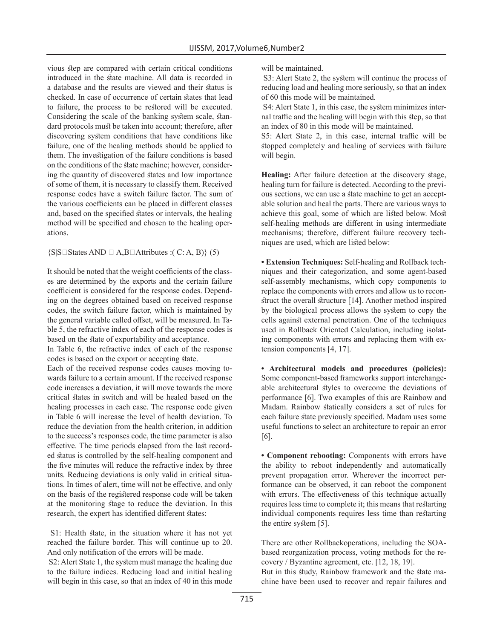vious step are compared with certain critical conditions introduced in the state machine. All data is recorded in a database and the results are viewed and their status is checked. In case of occurrence of certain states that lead to failure, the process to be restored will be executed. Considering the scale of the banking system scale, standard protocols must be taken into account; therefore, after discovering system conditions that have conditions like failure, one of the healing methods should be applied to them. The investigation of the failure conditions is based on the conditions of the state machine; however, considering the quantity of discovered states and low importance of some of them, it is necessary to classify them. Received response codes have a switch failure factor. The sum of the various coefficients can be placed in different classes and, based on the specified states or intervals, the healing method will be specified and chosen to the healing operations.

#### {S|S∈States AND ∃ A,B∈Attributes :( C: A, B)} (5)

It should be noted that the weight coefficients of the classes are determined by the exports and the certain failure coefficient is considered for the response codes. Depending on the degrees obtained based on received response codes, the switch failure factor, which is maintained by the general variable called offset, will be measured. In Table 5, the refractive index of each of the response codes is based on the state of exportability and acceptance.

In Table 6, the refractive index of each of the response codes is based on the export or accepting state.

Each of the received response codes causes moving towards failure to a certain amount. If the received response code increases a deviation, it will move towards the more critical states in switch and will be healed based on the healing processes in each case. The response code given in Table 6 will increase the level of health deviation. To reduce the deviation from the health criterion, in addition to the success's responses code, the time parameter is also effective. The time periods elapsed from the last recorded status is controlled by the self-healing component and the five minutes will reduce the refractive index by three units. Reducing deviations is only valid in critical situations. In times of alert, time will not be effective, and only on the basis of the registered response code will be taken at the monitoring stage to reduce the deviation. In this research, the expert has identified different states:

 S1: Health state, in the situation where it has not yet reached the failure border. This will continue up to 20. And only notification of the errors will be made.

 S2: Alert State 1, the system must manage the healing due to the failure indices. Reducing load and initial healing will begin in this case, so that an index of 40 in this mode will be maintained.

 S3: Alert State 2, the system will continue the process of reducing load and healing more seriously, so that an index of 60 this mode will be maintained.

 S4: Alert State 1, in this case, the system minimizes internal traffic and the healing will begin with this step, so that an index of 80 in this mode will be maintained.

S5: Alert State 2, in this case, internal traffic will be stopped completely and healing of services with failure will begin.

**Healing:** After failure detection at the discovery stage, healing turn for failure is detected. According to the previous sections, we can use a state machine to get an acceptable solution and heal the parts. There are various ways to achieve this goal, some of which are listed below. Most self-healing methods are different in using intermediate mechanisms; therefore, different failure recovery techniques are used, which are listed below:

**• Extension Techniques:** Self-healing and Rollback techniques and their categorization, and some agent-based self-assembly mechanisms, which copy components to replace the components with errors and allow us to reconstruct the overall structure [14]. Another method inspired by the biological process allows the system to copy the cells against external penetration. One of the techniques used in Rollback Oriented Calculation, including isolating components with errors and replacing them with extension components [4, 17].

**• Architectural models and procedures (policies):**  Some component-based frameworks support interchangeable architectural styles to overcome the deviations of performance [6]. Two examples of this are Rainbow and Madam. Rainbow statically considers a set of rules for each failure state previously specified. Madam uses some useful functions to select an architecture to repair an error [6].

**• Component rebooting:** Components with errors have the ability to reboot independently and automatically prevent propagation error. Wherever the incorrect performance can be observed, it can reboot the component with errors. The effectiveness of this technique actually requires less time to complete it; this means that restarting individual components requires less time than restarting the entire system [5].

There are other Rollbackoperations, including the SOAbased reorganization process, voting methods for the recovery / Byzantine agreement, etc. [12, 18, 19].

But in this study, Rainbow framework and the state machine have been used to recover and repair failures and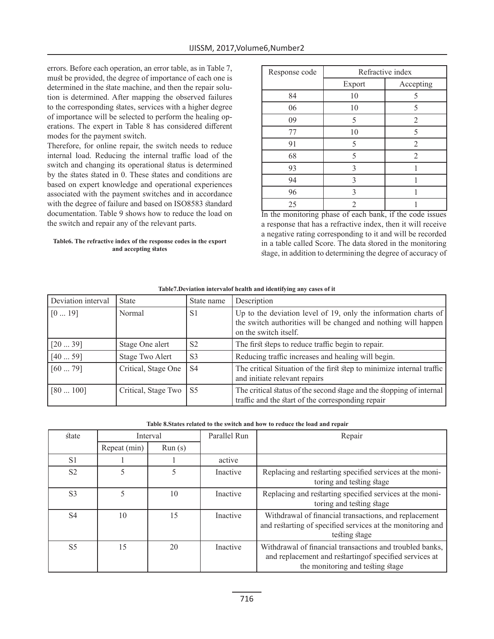errors. Before each operation, an error table, as in Table 7, must be provided, the degree of importance of each one is determined in the state machine, and then the repair solution is determined. After mapping the observed failures to the corresponding states, services with a higher degree of importance will be selected to perform the healing operations. The expert in Table 8 has considered different modes for the payment switch.

Therefore, for online repair, the switch needs to reduce internal load. Reducing the internal traffic load of the switch and changing its operational status is determined by the states stated in 0. These states and conditions are based on expert knowledge and operational experiences associated with the payment switches and in accordance with the degree of failure and based on ISO8583 standard documentation. Table 9 shows how to reduce the load on the switch and repair any of the relevant parts.

#### **Table6. The refractive index of the response codes in the export and accepting states**

| Response code | Refractive index |                |  |
|---------------|------------------|----------------|--|
|               | Export           | Accepting      |  |
| 84            | 10               | 5              |  |
| 06            | 10               | 5              |  |
| 09            | 5                | $\overline{2}$ |  |
| 77            | 10               | 5              |  |
| 91            | 5                | 2              |  |
| 68            | 5                | 2              |  |
| 93            | 3                |                |  |
| 94            | 3                |                |  |
| 96            | 3                |                |  |
| 25            | 2                |                |  |

In the monitoring phase of each bank, if the code issues a response that has a refractive index, then it will receive a negative rating corresponding to it and will be recorded in a table called Score. The data stored in the monitoring stage, in addition to determining the degree of accuracy of

| Deviation interval | <b>State</b>           | State name     | Description                                                                                                                                                |
|--------------------|------------------------|----------------|------------------------------------------------------------------------------------------------------------------------------------------------------------|
| [019]              | Normal                 | S <sub>1</sub> | Up to the deviation level of 19, only the information charts of<br>the switch authorities will be changed and nothing will happen<br>on the switch itself. |
| [2039]             | Stage One alert        | S <sub>2</sub> | The first steps to reduce traffic begin to repair.                                                                                                         |
| [4059]             | Stage Two Alert        | S <sub>3</sub> | Reducing traffic increases and healing will begin.                                                                                                         |
| [6079]             | Critical, Stage One    | S <sub>4</sub> | The critical Situation of the first step to minimize internal traffic<br>and initiate relevant repairs                                                     |
| [80100]            | Critical, Stage Two S5 |                | The critical status of the second stage and the stopping of internal<br>traffic and the start of the corresponding repair                                  |

#### **Table7.Deviation intervalof health and identifying any cases of it**

| Table 8. States related to the switch and how to reduce the load and repair |  |  |
|-----------------------------------------------------------------------------|--|--|

| state          | Interval     |        | Parallel Run |                                                                                                                                                        |  | Repair |  |
|----------------|--------------|--------|--------------|--------------------------------------------------------------------------------------------------------------------------------------------------------|--|--------|--|
|                | Repeat (min) | Run(s) |              |                                                                                                                                                        |  |        |  |
| S <sub>1</sub> |              |        | active       |                                                                                                                                                        |  |        |  |
| S <sub>2</sub> |              | 5      | Inactive     | Replacing and restarting specified services at the moni-<br>toring and testing stage                                                                   |  |        |  |
| S <sub>3</sub> |              | 10     | Inactive     | Replacing and restarting specified services at the moni-<br>toring and testing stage                                                                   |  |        |  |
| S <sub>4</sub> | 10           | 15     | Inactive     | Withdrawal of financial transactions, and replacement<br>and restarting of specified services at the monitoring and<br>testing stage                   |  |        |  |
| S <sub>5</sub> | 15           | 20     | Inactive     | Withdrawal of financial transactions and troubled banks,<br>and replacement and restartingof specified services at<br>the monitoring and testing stage |  |        |  |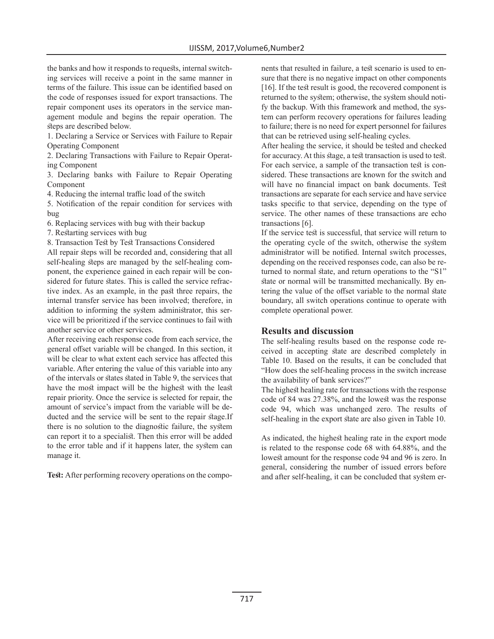the banks and how it responds to requests, internal switching services will receive a point in the same manner in terms of the failure. This issue can be identified based on the code of responses issued for export transactions. The repair component uses its operators in the service management module and begins the repair operation. The steps are described below.

1. Declaring a Service or Services with Failure to Repair Operating Component

2. Declaring Transactions with Failure to Repair Operating Component

3. Declaring banks with Failure to Repair Operating Component

4. Reducing the internal traffic load of the switch

5. Notification of the repair condition for services with bug

6. Replacing services with bug with their backup

7. Restarting services with bug

8. Transaction Test by Test Transactions Considered

All repair steps will be recorded and, considering that all self-healing steps are managed by the self-healing component, the experience gained in each repair will be considered for future states. This is called the service refractive index. As an example, in the past three repairs, the internal transfer service has been involved; therefore, in addition to informing the system administrator, this service will be prioritized if the service continues to fail with another service or other services.

After receiving each response code from each service, the general offset variable will be changed. In this section, it will be clear to what extent each service has affected this variable. After entering the value of this variable into any of the intervals or states stated in Table 9, the services that have the most impact will be the highest with the least repair priority. Once the service is selected for repair, the amount of service's impact from the variable will be deducted and the service will be sent to the repair stage.If there is no solution to the diagnostic failure, the system can report it to a specialist. Then this error will be added to the error table and if it happens later, the system can manage it.

**Test:** After performing recovery operations on the compo-

nents that resulted in failure, a test scenario is used to ensure that there is no negative impact on other components [16]. If the test result is good, the recovered component is returned to the system; otherwise, the system should notify the backup. With this framework and method, the system can perform recovery operations for failures leading to failure; there is no need for expert personnel for failures that can be retrieved using self-healing cycles.

After healing the service, it should be tested and checked for accuracy. At this stage, a test transaction is used to test. For each service, a sample of the transaction test is considered. These transactions are known for the switch and will have no financial impact on bank documents. Test transactions are separate for each service and have service tasks specific to that service, depending on the type of service. The other names of these transactions are echo transactions [6].

If the service test is successful, that service will return to the operating cycle of the switch, otherwise the system administrator will be notified. Internal switch processes, depending on the received responses code, can also be returned to normal state, and return operations to the "S1" state or normal will be transmitted mechanically. By entering the value of the offset variable to the normal state boundary, all switch operations continue to operate with complete operational power.

# **Results and discussion**

The self-healing results based on the response code received in accepting state are described completely in Table 10. Based on the results, it can be concluded that "How does the self-healing process in the switch increase the availability of bank services?"

The highest healing rate for transactions with the response code of 84 was 27.38%, and the lowest was the response code 94, which was unchanged zero. The results of self-healing in the export state are also given in Table 10.

As indicated, the highest healing rate in the export mode is related to the response code 68 with 64.88%, and the lowest amount for the response code 94 and 96 is zero. In general, considering the number of issued errors before and after self-healing, it can be concluded that system er-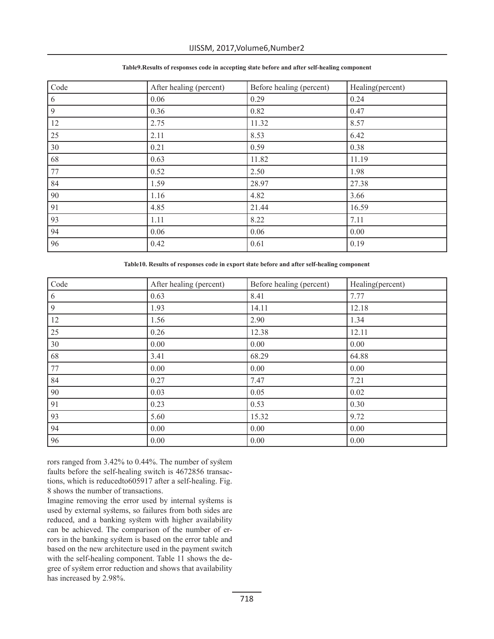| Code       | After healing (percent) | Before healing (percent) | Healing(percent) |
|------------|-------------------------|--------------------------|------------------|
| $\sqrt{6}$ | 0.06                    | 0.29                     | 0.24             |
| 9          | 0.36                    | 0.82                     | 0.47             |
| 12         | 2.75                    | 11.32                    | 8.57             |
| 25         | 2.11                    | 8.53                     | 6.42             |
| 30         | 0.21                    | 0.59                     | 0.38             |
| 68         | 0.63                    | 11.82                    | 11.19            |
| 77         | 0.52                    | 2.50                     | 1.98             |
| 84         | 1.59                    | 28.97                    | 27.38            |
| 90         | 1.16                    | 4.82                     | 3.66             |
| 91         | 4.85                    | 21.44                    | 16.59            |
| 93         | 1.11                    | 8.22                     | 7.11             |
| 94         | 0.06                    | 0.06                     | 0.00             |
| 96         | 0.42                    | 0.61                     | 0.19             |

#### **Table9.Results of responses code in accepting state before and after self-healing component**

**Table10. Results of responses code in export state before and after self-healing component**

| Code | After healing (percent) | Before healing (percent) | Healing(percent) |
|------|-------------------------|--------------------------|------------------|
| 6    | 0.63                    | 8.41                     | 7.77             |
| 9    | 1.93                    | 14.11                    | 12.18            |
| 12   | 1.56                    | 2.90                     | 1.34             |
| 25   | 0.26                    | 12.38                    | 12.11            |
| 30   | 0.00                    | 0.00                     | 0.00             |
| 68   | 3.41                    | 68.29                    | 64.88            |
| 77   | 0.00                    | 0.00                     | 0.00             |
| 84   | 0.27                    | 7.47                     | 7.21             |
| 90   | 0.03                    | 0.05                     | 0.02             |
| 91   | 0.23                    | 0.53                     | 0.30             |
| 93   | 5.60                    | 15.32                    | 9.72             |
| 94   | 0.00                    | 0.00                     | 0.00             |
| 96   | 0.00                    | 0.00                     | 0.00             |

rors ranged from 3.42% to 0.44%. The number of system faults before the self-healing switch is 4672856 transactions, which is reducedto605917 after a self-healing. Fig. 8 shows the number of transactions.

Imagine removing the error used by internal systems is used by external systems, so failures from both sides are reduced, and a banking system with higher availability can be achieved. The comparison of the number of errors in the banking system is based on the error table and based on the new architecture used in the payment switch with the self-healing component. Table 11 shows the degree of system error reduction and shows that availability has increased by 2.98%.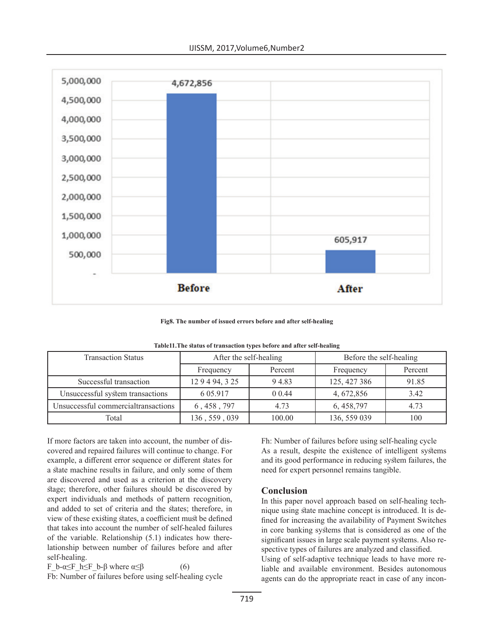

**Fig8. The number of issued errors before and after self-healing**

| <b>Transaction Status</b>           | After the self-healing |         | Before the self-healing |         |  |  |
|-------------------------------------|------------------------|---------|-------------------------|---------|--|--|
|                                     | Frequency              | Percent | Frequency               | Percent |  |  |
| Successful transaction              | 129494, 325            | 94.83   | 125, 427 386            | 91.85   |  |  |
| Unsuccessful system transactions    | 6 05.917               | 0 0.44  | 4, 672, 856             | 3.42    |  |  |
| Unsuccessful commercialtransactions | 6, 458, 797            | 4.73    | 6, 458, 797             | 4.73    |  |  |
| Total                               | 136, 559, 039          | 100.00  | 136, 559 039            | 100     |  |  |

**Table11.The status of transaction types before and after self-healing**

If more factors are taken into account, the number of discovered and repaired failures will continue to change. For example, a different error sequence or different states for a state machine results in failure, and only some of them are discovered and used as a criterion at the discovery stage; therefore, other failures should be discovered by expert individuals and methods of pattern recognition, and added to set of criteria and the states; therefore, in view of these existing states, a coefficient must be defined that takes into account the number of self-healed failures of the variable. Relationship (5.1) indicates how therelationship between number of failures before and after self-healing.

F b-α≤F h≤F b-β where  $\alpha \leq \beta$  (6)

Fb: Number of failures before using self-healing cycle

Fh: Number of failures before using self-healing cycle As a result, despite the existence of intelligent systems and its good performance in reducing system failures, the need for expert personnel remains tangible.

## **Conclusion**

In this paper novel approach based on self-healing technique using state machine concept is introduced. It is defined for increasing the availability of Payment Switches in core banking systems that is considered as one of the significant issues in large scale payment systems. Also respective types of failures are analyzed and classified. Using of self-adaptive technique leads to have more reliable and available environment. Besides autonomous agents can do the appropriate react in case of any incon